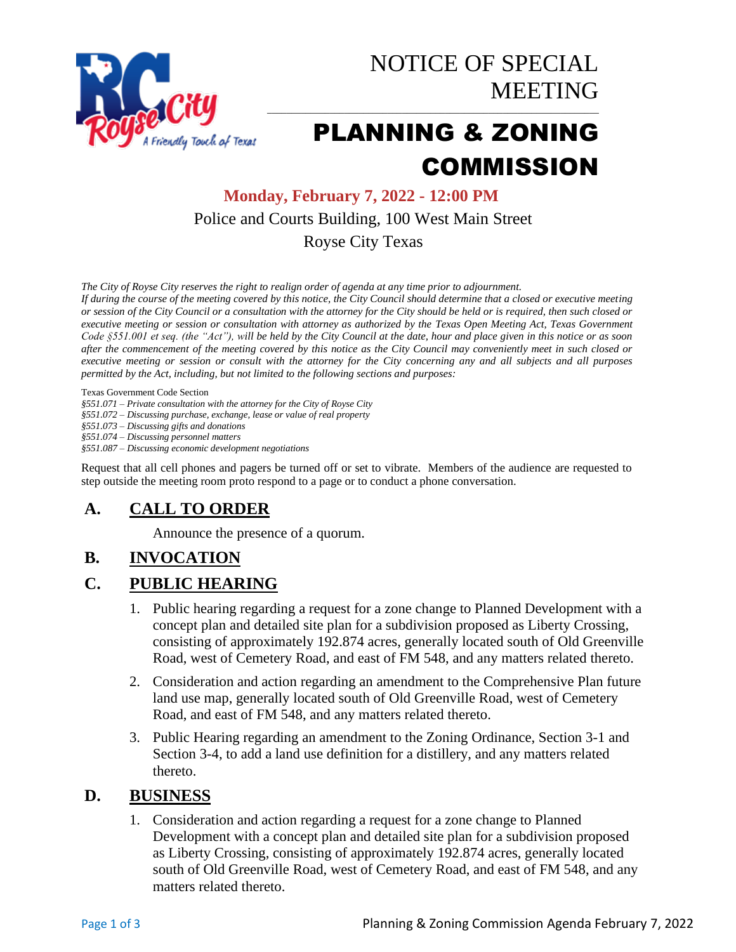

# PLANNING & ZONING **COMMISSION**

**Monday, February 7, 2022 - 12:00 PM** Police and Courts Building, 100 West Main Street Royse City Texas

*The City of Royse City reserves the right to realign order of agenda at any time prior to adjournment.*

*If during the course of the meeting covered by this notice, the City Council should determine that a closed or executive meeting or session of the City Council or a consultation with the attorney for the City should be held or is required, then such closed or executive meeting or session or consultation with attorney as authorized by the Texas Open Meeting Act, Texas Government Code §551.001 et seq. (the "Act"), will be held by the City Council at the date, hour and place given in this notice or as soon after the commencement of the meeting covered by this notice as the City Council may conveniently meet in such closed or executive meeting or session or consult with the attorney for the City concerning any and all subjects and all purposes permitted by the Act, including, but not limited to the following sections and purposes:*

Texas Government Code Section

*§551.071 – Private consultation with the attorney for the City of Royse City* 

*§551.072 – Discussing purchase, exchange, lease or value of real property* 

*§551.073 – Discussing gifts and donations*

*§551.074 – Discussing personnel matters*

*§551.087 – Discussing economic development negotiations*

Request that all cell phones and pagers be turned off or set to vibrate. Members of the audience are requested to step outside the meeting room proto respond to a page or to conduct a phone conversation.

### **A. CALL TO ORDER**

Announce the presence of a quorum.

### **B. INVOCATION**

#### **C. PUBLIC HEARING**

- 1. Public hearing regarding a request for a zone change to Planned Development with a concept plan and detailed site plan for a subdivision proposed as Liberty Crossing, consisting of approximately 192.874 acres, generally located south of Old Greenville Road, west of Cemetery Road, and east of FM 548, and any matters related thereto.
- 2. Consideration and action regarding an amendment to the Comprehensive Plan future land use map, generally located south of Old Greenville Road, west of Cemetery Road, and east of FM 548, and any matters related thereto.
- 3. Public Hearing regarding an amendment to the Zoning Ordinance, Section 3-1 and Section 3-4, to add a land use definition for a distillery, and any matters related thereto.

#### **D. BUSINESS**

1. Consideration and action regarding a request for a zone change to Planned Development with a concept plan and detailed site plan for a subdivision proposed as Liberty Crossing, consisting of approximately 192.874 acres, generally located south of Old Greenville Road, west of Cemetery Road, and east of FM 548, and any matters related thereto.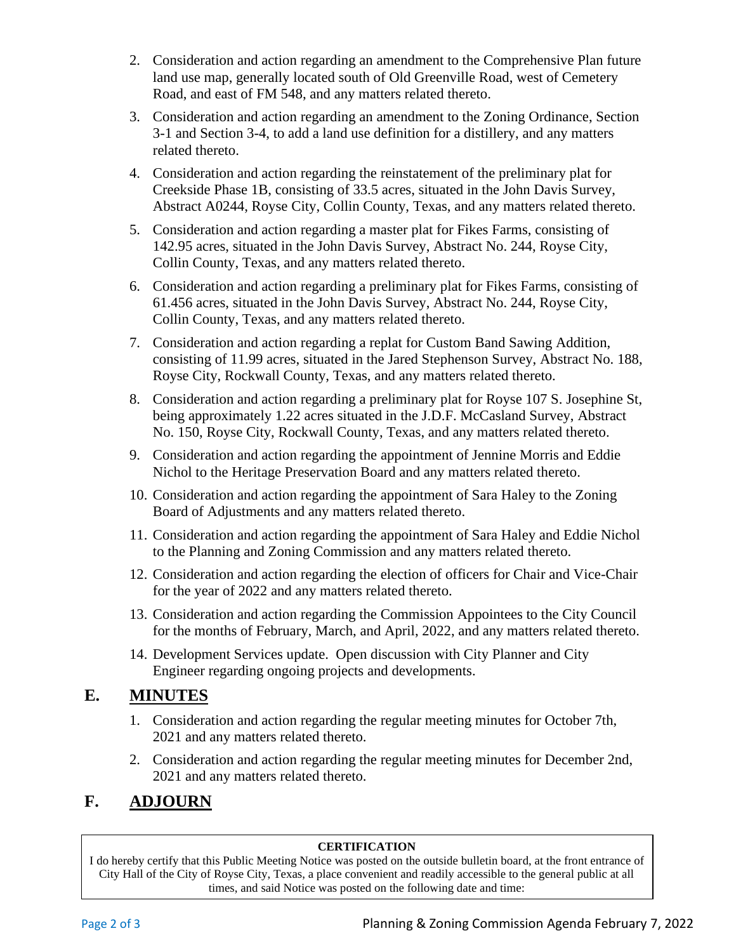- 2. Consideration and action regarding an amendment to the Comprehensive Plan future land use map, generally located south of Old Greenville Road, west of Cemetery Road, and east of FM 548, and any matters related thereto.
- 3. Consideration and action regarding an amendment to the Zoning Ordinance, Section 3-1 and Section 3-4, to add a land use definition for a distillery, and any matters related thereto.
- 4. Consideration and action regarding the reinstatement of the preliminary plat for Creekside Phase 1B, consisting of 33.5 acres, situated in the John Davis Survey, Abstract A0244, Royse City, Collin County, Texas, and any matters related thereto.
- 5. Consideration and action regarding a master plat for Fikes Farms, consisting of 142.95 acres, situated in the John Davis Survey, Abstract No. 244, Royse City, Collin County, Texas, and any matters related thereto.
- 6. Consideration and action regarding a preliminary plat for Fikes Farms, consisting of 61.456 acres, situated in the John Davis Survey, Abstract No. 244, Royse City, Collin County, Texas, and any matters related thereto.
- 7. Consideration and action regarding a replat for Custom Band Sawing Addition, consisting of 11.99 acres, situated in the Jared Stephenson Survey, Abstract No. 188, Royse City, Rockwall County, Texas, and any matters related thereto.
- 8. Consideration and action regarding a preliminary plat for Royse 107 S. Josephine St, being approximately 1.22 acres situated in the J.D.F. McCasland Survey, Abstract No. 150, Royse City, Rockwall County, Texas, and any matters related thereto.
- 9. Consideration and action regarding the appointment of Jennine Morris and Eddie Nichol to the Heritage Preservation Board and any matters related thereto.
- 10. Consideration and action regarding the appointment of Sara Haley to the Zoning Board of Adjustments and any matters related thereto.
- 11. Consideration and action regarding the appointment of Sara Haley and Eddie Nichol to the Planning and Zoning Commission and any matters related thereto.
- 12. Consideration and action regarding the election of officers for Chair and Vice-Chair for the year of 2022 and any matters related thereto.
- 13. Consideration and action regarding the Commission Appointees to the City Council for the months of February, March, and April, 2022, and any matters related thereto.
- 14. Development Services update. Open discussion with City Planner and City Engineer regarding ongoing projects and developments.

## **E. MINUTES**

- 1. Consideration and action regarding the regular meeting minutes for October 7th, 2021 and any matters related thereto.
- 2. Consideration and action regarding the regular meeting minutes for December 2nd, 2021 and any matters related thereto.

## **F. ADJOURN**

#### **CERTIFICATION**

I do hereby certify that this Public Meeting Notice was posted on the outside bulletin board, at the front entrance of City Hall of the City of Royse City, Texas, a place convenient and readily accessible to the general public at all times, and said Notice was posted on the following date and time: